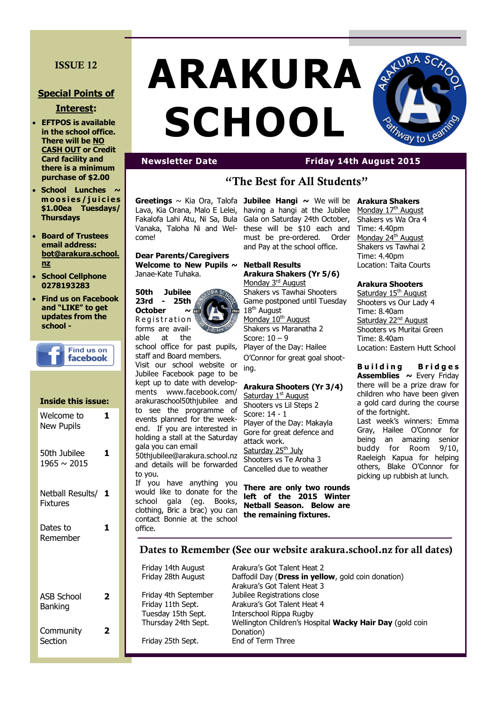# **ISSUE 12**

## **Special Points of**

### **Interest:**

- **EFTPOS is available in the school office. There will be NO CASH OUT or Credit Card facility and there is a minimum purchase of \$2.00**
- **School Lunches**  $\sim$ **m o o s i e s / j u i c i e s \$1.00ea Tuesdays/ Thursdays**
- **Board of Trustees email address: bot@arakura.school. nz**
- **School Cellphone 0278193283**
- **Find us on Facebook and "LIKE" to get updates from the school -**

| Find us on<br>facebook. |
|-------------------------|
|                         |

#### **Inside this issue:** Welcome to **1**

| <b>New Pupils</b>            |    |
|------------------------------|----|
| 50th Jubilee<br>1965 ~ 2015  | ı  |
| Netball Results/<br>Fixtures | -1 |
| Dates to<br>Remember         | 1  |
|                              |    |
| <b>ASB School</b><br>Banking | 2  |
| Community<br>Section         | 7  |

# **ARAKURA SCHOOL**



# **Newsletter Date Friday 14th August 2015**

# **"The Best for All Students"**

Lava, Kia Orana, Malo E Lelei, Fakalofa Lahi Atu, Ni Sa, Bula Vanaka, Taloha Ni and Welcome!

**Dear Parents/Caregivers Welcome to New Pupils ~**  Janae-Kate Tuhaka.



able at the school office for past pupils,

staff and Board members. Visit our school website or Jubilee Facebook page to be kept up to date with developments www.facebook.com/ arakuraschool50thjubilee and to see the programme of events planned for the weekend. If you are interested in holding a stall at the Saturday gala you can email

50thjubilee@arakura.school.nz and details will be forwarded to you.

If you have anything you would like to donate for the school gala (eg. Books, clothing, Bric a brac) you can contact Bonnie at the school office.

**Greetings** ~ Kia Ora, Talofa **Jubilee Hangi ~** We will be **Arakura Shakers**  having a hangi at the Jubilee Gala on Saturday 24th October, these will be \$10 each and must be pre-ordered. Order and Pay at the school office.

> **Netball Results Arakura Shakers (Yr 5/6)** Monday 3<sup>rd</sup> August Shakers vs Tawhai Shooters Game postponed until Tuesday 18<sup>th</sup> August Monday 10<sup>th</sup> August Shakers vs Maranatha 2 Score: 10 – 9 Player of the Day: Hailee O'Connor for great goal shooting.

#### **Arakura Shooters (Yr 3/4)**

Saturday  $1<sup>st</sup>$  August Shooters vs Lil Steps 2 Score: 14 - 1 Player of the Day: Makayla Gore for great defence and attack work. Saturday 25<sup>th</sup> July Shooters vs Te Aroha 3 Cancelled due to weather

**There are only two rounds left of the 2015 Winter Netball Season. Below are the remaining fixtures.**

Monday 17<sup>th</sup> August Shakers vs Wa Ora 4 Time: 4.40pm Monday 24<sup>th</sup> August Shakers vs Tawhai 2 Time: 4.40pm Location: Taita Courts

## **Arakura Shooters**

Saturday 15<sup>th</sup> August Shooters vs Our Lady 4 Time: 8.40am Saturday 22<sup>nd</sup> August Shooters vs Muritai Green Time: 8.40am Location: Eastern Hutt School

**Building** Bridges Assemblies ~ Every Friday there will be a prize draw for children who have been given a gold card during the course of the fortnight. Last week's winners: Emma Gray, Hailee O'Connor for

being an amazing senior buddy for Room 9/10, Raeleigh Kapua for helping others, Blake O'Connor for picking up rubbish at lunch.

# **Dates to Remember (See our website arakura.school.nz for all dates)**

Friday 14th August Arakura's Got Talent Heat 2 Friday 28th August Daffodil Day (**Dress in yellow**, gold coin donation) Arakura's Got Talent Heat 3 Friday 4th September Jubilee Registrations close Friday 11th Sept. Arakura's Got Talent Heat 4 Tuesday 15th Sept. Interschool Rippa Rugby Thursday 24th Sept. Wellington Children's Hospital **Wacky Hair Day** (gold coin Donation) Friday 25th Sept. End of Term Three